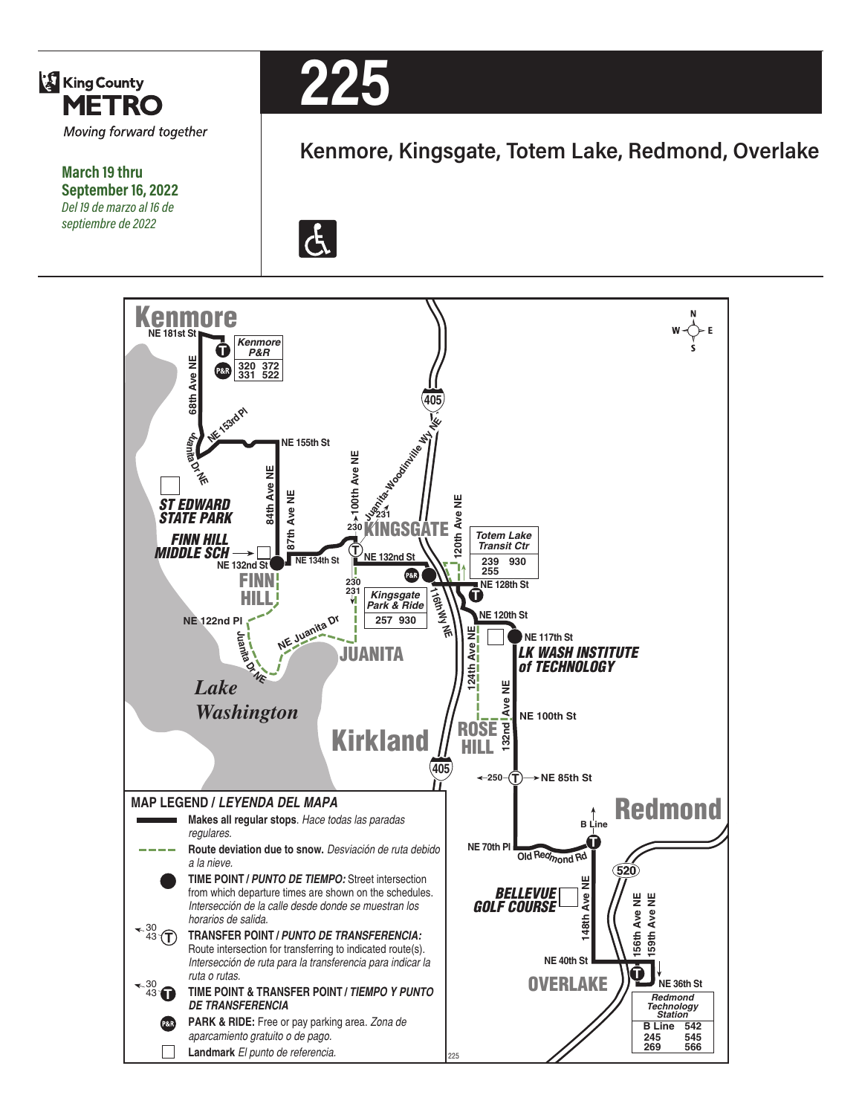

**March 19 thru September 16, 2022** *Del 19 de marzo al 16 de septiembre de 2022*



# **Kenmore, Kingsgate, Totem Lake, Redmond, Overlake**

 $|\mathbf{f}|$ 

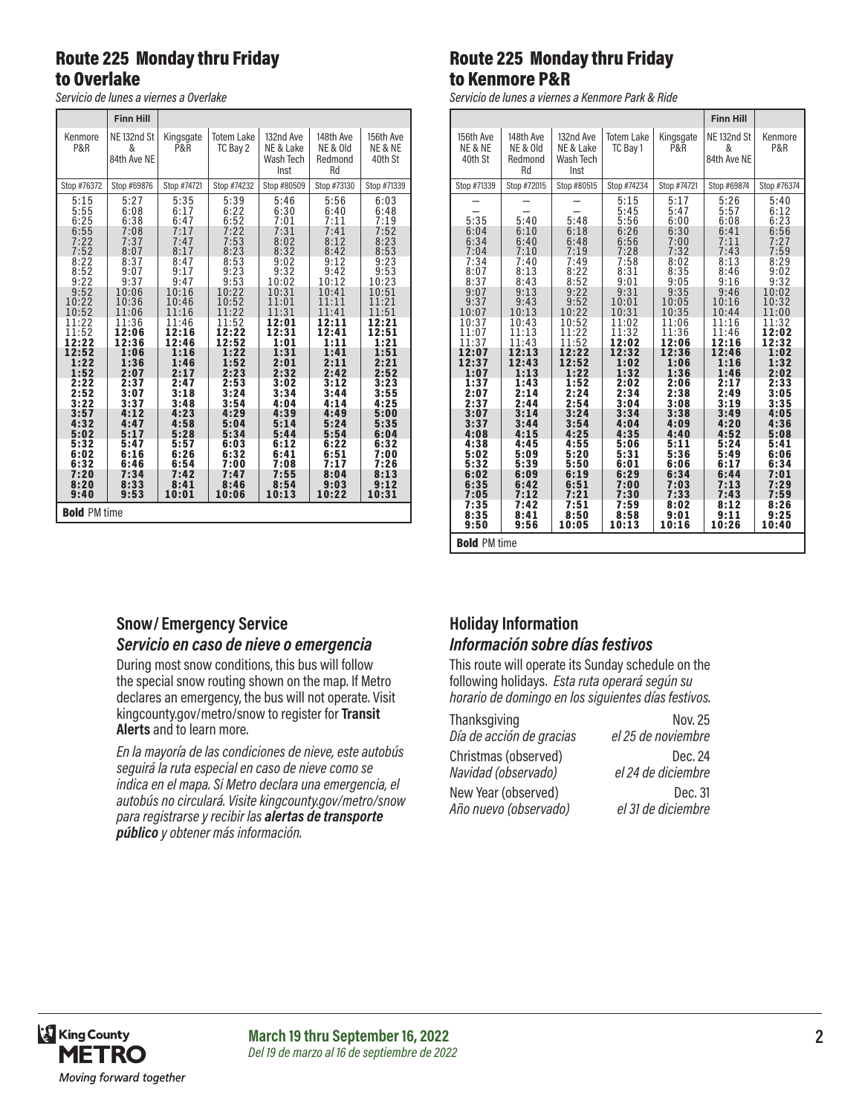# Route 225 Monday thru Friday to Overlake

*Servicio de lunes a viernes a Overlake*

|                                                                                                                                                                                                                            | <b>Finn Hill</b>                                                                                                                                                                                                           |                                                                                                                                                                                                                            |                                                                                                                                                                                                                            |                                                                                                                                                                                                                            |                                                                                                                                                                                                                            |                                                                                                                                                                                                                            |
|----------------------------------------------------------------------------------------------------------------------------------------------------------------------------------------------------------------------------|----------------------------------------------------------------------------------------------------------------------------------------------------------------------------------------------------------------------------|----------------------------------------------------------------------------------------------------------------------------------------------------------------------------------------------------------------------------|----------------------------------------------------------------------------------------------------------------------------------------------------------------------------------------------------------------------------|----------------------------------------------------------------------------------------------------------------------------------------------------------------------------------------------------------------------------|----------------------------------------------------------------------------------------------------------------------------------------------------------------------------------------------------------------------------|----------------------------------------------------------------------------------------------------------------------------------------------------------------------------------------------------------------------------|
| Kenmore<br>P&R                                                                                                                                                                                                             | NE <sub>132nd</sub> St<br>&<br>84th Ave NE                                                                                                                                                                                 | Kingsgate<br>P&R                                                                                                                                                                                                           | <b>Totem Lake</b><br>TC Bay 2                                                                                                                                                                                              | 132nd Ave<br>NE & Lake<br>Wash Tech<br>Inst                                                                                                                                                                                | 148th Ave<br>NE & Old<br>Redmond<br>Rd                                                                                                                                                                                     | 156th Ave<br>NE & NE<br>40th St                                                                                                                                                                                            |
| Stop #76372                                                                                                                                                                                                                | Stop #69876                                                                                                                                                                                                                | Stop #74721                                                                                                                                                                                                                | Stop #74232                                                                                                                                                                                                                | Stop #80509                                                                                                                                                                                                                | Stop #73130                                                                                                                                                                                                                | Stop #71339                                                                                                                                                                                                                |
| 5:15<br>5:55<br>6:25<br>6:55<br>7:22<br>7:52<br>8:22<br>8:52<br>9:22<br>9:52<br>10:22<br>10:52<br>11:22<br>11:52<br>12:22<br>12:52<br>1:22<br>1:52<br>2:22<br>2:52<br>3:22<br>3:57<br>4:32<br>5:02<br>5:32<br>6:02<br>6:32 | 5:27<br>6:08<br>6:38<br>7:08<br>7:37<br>8:07<br>8:37<br>9:07<br>9:37<br>10:06<br>10:36<br>11:06<br>11:36<br>12:06<br>12:36<br>1:06<br>1:36<br>2:07<br>2:37<br>3:07<br>3:37<br>4:12<br>4:47<br>5:17<br>5:47<br>6:16<br>6:46 | 5:35<br>6:17<br>6:47<br>7:17<br>7:47<br>8:17<br>8:47<br>9:17<br>9:47<br>10:16<br>10:46<br>11:16<br>11:46<br>12:16<br>12:46<br>1:16<br>1:46<br>2:17<br>2:47<br>3:18<br>3:48<br>4:23<br>4:58<br>5:28<br>5:57<br>6:26<br>6:54 | 5:39<br>6:22<br>6:52<br>7:22<br>7:53<br>8:23<br>8:53<br>9:23<br>9:53<br>10:22<br>10:52<br>11:22<br>11:52<br>12:22<br>12:52<br>1:22<br>1:52<br>2:23<br>2:53<br>3:24<br>3:54<br>4:29<br>5:04<br>5:34<br>6:03<br>6:32<br>7:00 | 5:46<br>6:30<br>7:01<br>7:31<br>8:02<br>8:32<br>9:02<br>9:32<br>10:02<br>10:31<br>11:01<br>11:31<br>12:01<br>12:31<br>1:01<br>1:31<br>2:01<br>2:32<br>3:02<br>3:34<br>4:04<br>4:39<br>5:14<br>5:44<br>6:12<br>6:41<br>7:08 | 5:56<br>6:40<br>7:11<br>7:41<br>8:12<br>8:42<br>9:12<br>9:42<br>10:12<br>10:41<br>11:11<br>11:41<br>12:11<br>12:41<br>1:11<br>1:41<br>2:11<br>2:42<br>3:12<br>3:44<br>4:14<br>4:49<br>5:24<br>5:54<br>6:22<br>6:51<br>7:17 | 6:03<br>6:48<br>7:19<br>7:52<br>8:23<br>8:53<br>9:23<br>9:53<br>10:23<br>10:51<br>11:21<br>11:51<br>12:21<br>12:51<br>1:21<br>1:51<br>2:21<br>2:52<br>3:23<br>3:55<br>4:25<br>5:00<br>5:35<br>6:04<br>6:32<br>7:00<br>7:26 |
| 7:20<br>8:20<br>9:40                                                                                                                                                                                                       | 7:34<br>8:33<br>9:53                                                                                                                                                                                                       | 7:42<br>8:41<br>10:01                                                                                                                                                                                                      | 7:47<br>8:46<br>10:06                                                                                                                                                                                                      | 7:55<br>8:54<br>10:13                                                                                                                                                                                                      | 8:04<br>9:03<br>10:22                                                                                                                                                                                                      | 8:13<br>9:12<br>10:31                                                                                                                                                                                                      |
| <b>Bold PM time</b>                                                                                                                                                                                                        |                                                                                                                                                                                                                            |                                                                                                                                                                                                                            |                                                                                                                                                                                                                            |                                                                                                                                                                                                                            |                                                                                                                                                                                                                            |                                                                                                                                                                                                                            |

# Route 225 Monday thru Friday to Kenmore P&R

*Servicio de lunes a viernes a Kenmore Park & Ride*

|                                                                                                                                                                                                                                    |                                                                                                                                                                                                                                    |                                                                                                                                                                                                                                    |                                                                                                                                                                                                                                                    |                                                                                                                                                                                                                                                    | <b>Finn Hill</b>                                                                                                                                                                                                                                   |                                                                                                                                                                                                                                                    |
|------------------------------------------------------------------------------------------------------------------------------------------------------------------------------------------------------------------------------------|------------------------------------------------------------------------------------------------------------------------------------------------------------------------------------------------------------------------------------|------------------------------------------------------------------------------------------------------------------------------------------------------------------------------------------------------------------------------------|----------------------------------------------------------------------------------------------------------------------------------------------------------------------------------------------------------------------------------------------------|----------------------------------------------------------------------------------------------------------------------------------------------------------------------------------------------------------------------------------------------------|----------------------------------------------------------------------------------------------------------------------------------------------------------------------------------------------------------------------------------------------------|----------------------------------------------------------------------------------------------------------------------------------------------------------------------------------------------------------------------------------------------------|
| 156th Ave<br>NE & NE<br>40th St                                                                                                                                                                                                    | 148th Ave<br>NE & Old<br>Redmond<br>Rd                                                                                                                                                                                             | 132nd Ave<br>NE & Lake<br>Wash Tech<br>Inst                                                                                                                                                                                        | <b>Totem Lake</b><br>TC Bay 1                                                                                                                                                                                                                      | Kingsgate<br>P&R                                                                                                                                                                                                                                   | NE <sub>132nd</sub> St<br>&<br>84th Ave NE                                                                                                                                                                                                         | Kenmore<br>P&R                                                                                                                                                                                                                                     |
| Stop #71339                                                                                                                                                                                                                        | Stop #72015                                                                                                                                                                                                                        | Stop #80515                                                                                                                                                                                                                        | Stop #74234                                                                                                                                                                                                                                        | Stop #74721                                                                                                                                                                                                                                        | Stop #69874                                                                                                                                                                                                                                        | Stop #76374                                                                                                                                                                                                                                        |
| 5:35<br>6:04<br>6:34<br>7:04<br>7:34<br>8:07<br>8:37<br>9:07<br>9:37<br>10:07<br>10:37<br>11:07<br>11:37<br>12:07<br>12:37<br>1:07<br>1:37<br>2:07<br>2:37<br>3:07<br>3:37<br>4:08<br>4:38<br>5:02<br>5:32<br>6:02<br>6:35<br>7:05 | 5:40<br>6:10<br>6:40<br>7:10<br>7:40<br>8:13<br>8:43<br>9:13<br>9:43<br>10:13<br>10:43<br>11:13<br>11:43<br>12:13<br>12:43<br>1:13<br>1:43<br>2:14<br>2:44<br>3:14<br>3:44<br>4:15<br>4:45<br>5:09<br>5:39<br>6:09<br>6:42<br>7:12 | 5:48<br>6:18<br>6:48<br>7:19<br>7:49<br>8:22<br>8:52<br>9:22<br>9:52<br>10:22<br>10:52<br>11:22<br>11:52<br>12:22<br>12:52<br>1:22<br>1:52<br>2:24<br>2:54<br>3:24<br>3:54<br>4:25<br>4:55<br>5:20<br>5:50<br>6:19<br>6:51<br>7:21 | 5:15<br>5:45<br>5:56<br>6:26<br>6:56<br>7:28<br>7:58<br>8:31<br>9:01<br>9:31<br>10:01<br>10:31<br>11:02<br>11:32<br>12:02<br>12:32<br>1:02<br>1:32<br>2:02<br>2:34<br>3:04<br>3:34<br>4:04<br>4:35<br>5:06<br>5:31<br>6:01<br>6:29<br>7:00<br>7:30 | 5:17<br>5:47<br>6:00<br>6:30<br>7:00<br>7:32<br>8:02<br>8:35<br>9:05<br>9:35<br>10:05<br>10:35<br>11:06<br>11:36<br>12:06<br>12:36<br>1:06<br>1:36<br>2:06<br>2:38<br>3:08<br>3:38<br>4:09<br>4:40<br>5:11<br>5:36<br>6:06<br>6:34<br>7:03<br>7:33 | 5:26<br>5:57<br>6:08<br>6:41<br>7:11<br>7:43<br>8:13<br>8:46<br>9:16<br>9:46<br>10:16<br>10:44<br>11:16<br>11:46<br>12:16<br>12:46<br>1:16<br>1:46<br>2:17<br>2:49<br>3:19<br>3:49<br>4:20<br>4:52<br>5:24<br>5:49<br>6:17<br>6:44<br>7:13<br>7:43 | 5:40<br>6:12<br>6:23<br>6:56<br>7:27<br>7:59<br>8:29<br>9:02<br>9:32<br>10:02<br>10:32<br>11:00<br>11:32<br>12:02<br>12:32<br>1:02<br>1:32<br>2:02<br>2:33<br>3:05<br>3:35<br>4:05<br>4:36<br>5:08<br>5:41<br>6:06<br>6:34<br>7:01<br>7:29<br>7:59 |
| 7:35<br>8:35<br>9:50<br><b>Bold PM time</b>                                                                                                                                                                                        | 7:42<br>8:41<br>9:56                                                                                                                                                                                                               | 7:51<br>8:50<br>10:05                                                                                                                                                                                                              | 7:59<br>8:58<br>10:13                                                                                                                                                                                                                              | 8:02<br>9:01<br>10:16                                                                                                                                                                                                                              | 8:12<br>9:11<br>10:26                                                                                                                                                                                                                              | 8:26<br>9:25<br>10:40                                                                                                                                                                                                                              |

#### **Snow/ Emergency Service**

#### *Servicio en caso de nieve o emergencia*

During most snow conditions, this bus will follow the special snow routing shown on the map. If Metro declares an emergency, the bus will not operate. Visit kingcounty.gov/metro/snow to register for **Transit Alerts** and to learn more.

*En la mayoría de las condiciones de nieve, este autobús seguirá la ruta especial en caso de nieve como se indica en el mapa. Si Metro declara una emergencia, el autobús no circulará. Visite kingcounty.gov/metro/snow para registrarse y recibir las alertas de transporte público y obtener más información.*

## **Holiday Information** *Información sobre días festivos*

This route will operate its Sunday schedule on the following holidays. *Esta ruta operará según su horario de domingo en los siguientes días festivos.*

| Thanksgiving             | <b>Nov. 25</b>     |
|--------------------------|--------------------|
| Día de acción de gracias | el 25 de noviembre |
| Christmas (observed)     | Dec. 24            |
| Navidad (observado)      | el 24 de diciembre |
| New Year (observed)      | Dec. 31            |
| Año nuevo (observado)    | el 31 de diciembre |